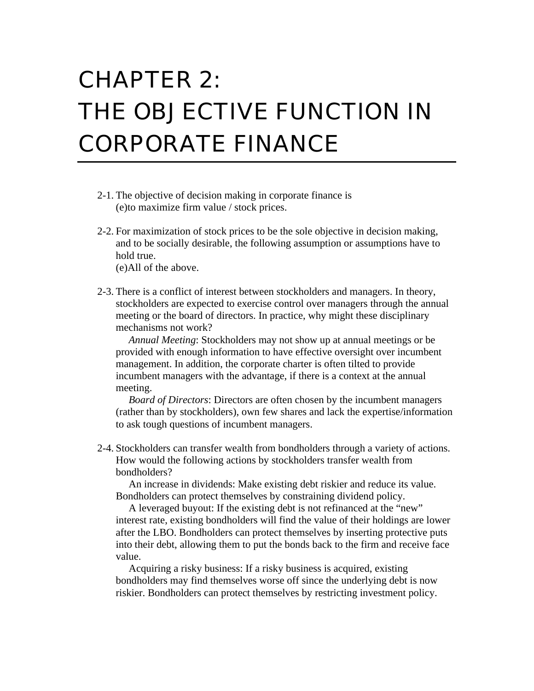## CHAPTER 2: THE OBJECTIVE FUNCTION IN CORPORATE FINANCE

- 2-1. The objective of decision making in corporate finance is (e)to maximize firm value / stock prices.
- 2-2. For maximization of stock prices to be the sole objective in decision making, and to be socially desirable, the following assumption or assumptions have to hold true.
	- (e)All of the above.
- 2-3. There is a conflict of interest between stockholders and managers. In theory, stockholders are expected to exercise control over managers through the annual meeting or the board of directors. In practice, why might these disciplinary mechanisms not work?

*Annual Meeting*: Stockholders may not show up at annual meetings or be provided with enough information to have effective oversight over incumbent management. In addition, the corporate charter is often tilted to provide incumbent managers with the advantage, if there is a context at the annual meeting.

*Board of Directors*: Directors are often chosen by the incumbent managers (rather than by stockholders), own few shares and lack the expertise/information to ask tough questions of incumbent managers.

2-4. Stockholders can transfer wealth from bondholders through a variety of actions. How would the following actions by stockholders transfer wealth from bondholders?

An increase in dividends: Make existing debt riskier and reduce its value. Bondholders can protect themselves by constraining dividend policy.

A leveraged buyout: If the existing debt is not refinanced at the "new" interest rate, existing bondholders will find the value of their holdings are lower after the LBO. Bondholders can protect themselves by inserting protective puts into their debt, allowing them to put the bonds back to the firm and receive face value.

Acquiring a risky business: If a risky business is acquired, existing bondholders may find themselves worse off since the underlying debt is now riskier. Bondholders can protect themselves by restricting investment policy.